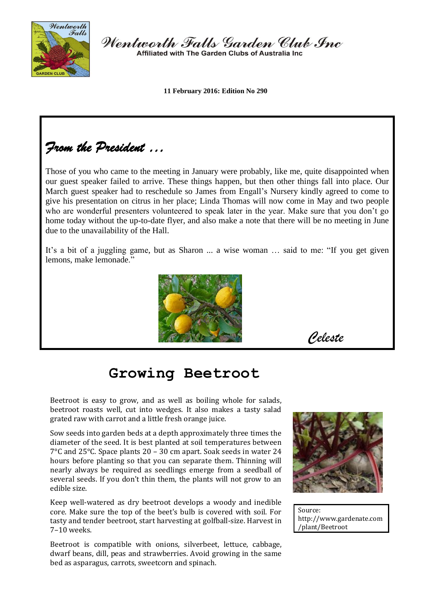

Wentworth Falls Garden Club Inc Affiliated with The Garden Clubs of Australia Inc.

**11 February 2016: Edition No 290**

*From the President …* 

Those of you who came to the meeting in January were probably, like me, quite disappointed when our guest speaker failed to arrive. These things happen, but then other things fall into place. Our March guest speaker had to reschedule so James from Engall's Nursery kindly agreed to come to give his presentation on citrus in her place; Linda Thomas will now come in May and two people who are wonderful presenters volunteered to speak later in the year. Make sure that you don't go home today without the up-to-date flyer, and also make a note that there will be no meeting in June due to the unavailability of the Hall.

It's a bit of a juggling game, but as Sharon ... a wise woman … said to me: "If you get given lemons, make lemonade."



*Celeste*

# **Growing Beetroot**

Beetroot is easy to grow, and as well as boiling whole for salads, beetroot roasts well, cut into wedges. It also makes a tasty salad grated raw with carrot and a little fresh orange juice.

Sow seeds into garden beds at a depth approximately three times the diameter of the seed. It is best planted at soil temperatures between 7°C and 25°C. Space plants 20 – 30 cm apart. Soak seeds in water 24 hours before planting so that you can separate them. Thinning will nearly always be required as seedlings emerge from a seedball of several seeds. If you don't thin them, the plants will not grow to an edible size.

Keep well-watered as dry beetroot develops a woody and inedible core. Make sure the top of the beet's bulb is covered with soil. For tasty and tender beetroot, start harvesting at golfball-size. Harvest in 7–10 weeks.

Beetroot is compatible with onions, silverbeet, lettuce, cabbage, dwarf beans, dill, peas and strawberries. Avoid growing in the same bed as asparagus, carrots, sweetcorn and spinach.



Source: http://www.gardenate.com /plant/Beetroot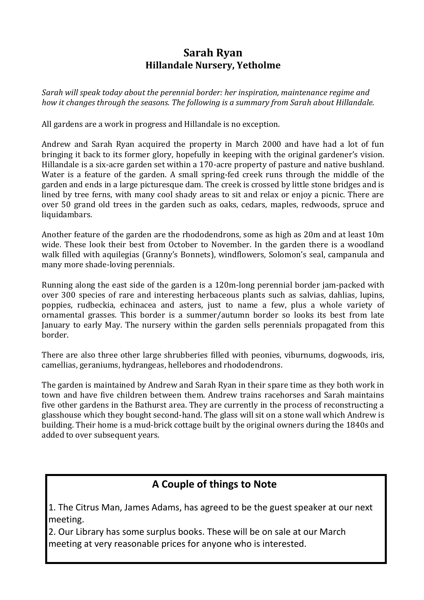### **Sarah Ryan Hillandale Nursery, Yetholme**

*Sarah will speak today about the perennial border: her inspiration, maintenance regime and how it changes through the seasons. The following is a summary from Sarah about Hillandale.*

All gardens are a work in progress and Hillandale is no exception.

Andrew and Sarah Ryan acquired the property in March 2000 and have had a lot of fun bringing it back to its former glory, hopefully in keeping with the original gardener's vision. Hillandale is a six-acre garden set within a 170-acre property of pasture and native bushland. Water is a feature of the garden. A small spring-fed creek runs through the middle of the garden and ends in a large picturesque dam. The creek is crossed by little stone bridges and is lined by tree ferns, with many cool shady areas to sit and relax or enjoy a picnic. There are over 50 grand old trees in the garden such as oaks, cedars, maples, redwoods, spruce and liquidambars.

Another feature of the garden are the rhododendrons, some as high as 20m and at least 10m wide. These look their best from October to November. In the garden there is a woodland walk filled with aquilegias (Granny's Bonnets), windflowers, Solomon's seal, campanula and many more shade-loving perennials.

Running along the east side of the garden is a 120m-long perennial border jam-packed with over 300 species of rare and interesting herbaceous plants such as salvias, dahlias, lupins, poppies, rudbeckia, echinacea and asters, just to name a few, plus a whole variety of ornamental grasses. This border is a summer/autumn border so looks its best from late January to early May. The nursery within the garden sells perennials propagated from this border.

There are also three other large shrubberies filled with peonies, viburnums, dogwoods, iris, camellias, geraniums, hydrangeas, hellebores and rhododendrons.

The garden is maintained by Andrew and Sarah Ryan in their spare time as they both work in town and have five children between them. Andrew trains racehorses and Sarah maintains five other gardens in the Bathurst area. They are currently in the process of reconstructing a glasshouse which they bought second-hand. The glass will sit on a stone wall which Andrew is building. Their home is a mud-brick cottage built by the original owners during the 1840s and added to over subsequent years.

# **A Couple of things to Note**

1. The Citrus Man, James Adams, has agreed to be the guest speaker at our next meeting.

2. Our Library has some surplus books. These will be on sale at our March meeting at very reasonable prices for anyone who is interested.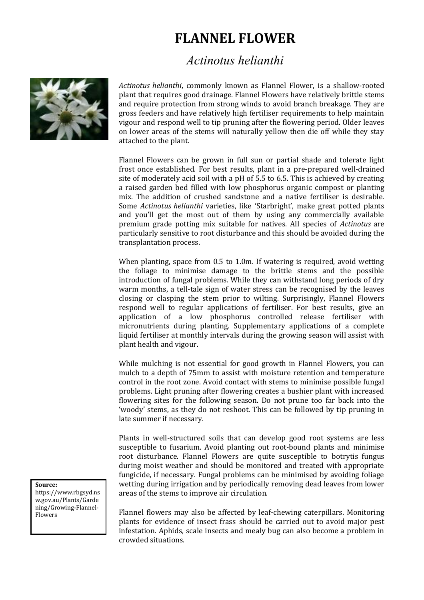# **FLANNEL FLOWER**

# *Actinotus helianthi*



*Actinotus helianthi*, commonly known as Flannel Flower, is a shallow-rooted plant that requires good drainage. Flannel Flowers have relatively brittle stems and require protection from strong winds to avoid branch breakage. They are gross feeders and have relatively high fertiliser requirements to help maintain vigour and respond well to tip pruning after the flowering period. Older leaves on lower areas of the stems will naturally yellow then die off while they stay attached to the plant.

Flannel Flowers can be grown in full sun or partial shade and tolerate light frost once established. For best results, plant in a pre-prepared well-drained site of moderately acid soil with a pH of 5.5 to 6.5. This is achieved by creating a raised garden bed filled with low phosphorus organic compost or planting mix. The addition of crushed sandstone and a native fertiliser is desirable. Some *Actinotus helianthi* varieties, like 'Starbright', make great potted plants and you'll get the most out of them by using any commercially available premium grade potting mix suitable for natives. All species of *Actinotus* are particularly sensitive to root disturbance and this should be avoided during the transplantation process.

When planting, space from 0.5 to 1.0m. If watering is required, avoid wetting the foliage to minimise damage to the brittle stems and the possible introduction of fungal problems. While they can withstand long periods of dry warm months, a tell-tale sign of water stress can be recognised by the leaves closing or clasping the stem prior to wilting. Surprisingly, Flannel Flowers respond well to regular applications of fertiliser. For best results, give an application of a low phosphorus controlled release fertiliser with micronutrients during planting. Supplementary applications of a complete liquid fertiliser at monthly intervals during the growing season will assist with plant health and vigour.

While mulching is not essential for good growth in Flannel Flowers, you can mulch to a depth of 75mm to assist with moisture retention and temperature control in the root zone. Avoid contact with stems to minimise possible fungal problems. Light pruning after flowering creates a bushier plant with increased flowering sites for the following season. Do not prune too far back into the 'woody' stems, as they do not reshoot. This can be followed by tip pruning in late summer if necessary.

Plants in well-structured soils that can develop good root systems are less susceptible to fusarium. Avoid planting out root-bound plants and minimise root disturbance. Flannel Flowers are quite susceptible to botrytis fungus during moist weather and should be monitored and treated with appropriate fungicide, if necessary. Fungal problems can be minimised by avoiding foliage wetting during irrigation and by periodically removing dead leaves from lower areas of the stems to improve air circulation.

Flannel flowers may also be affected by leaf-chewing caterpillars. Monitoring plants for evidence of insect frass should be carried out to avoid major pest infestation. Aphids, scale insects and mealy bug can also become a problem in crowded situations.

#### **Source:**

https://www.rbgsyd.ns w.gov.au/Plants/Garde ning/Growing-Flannel-Flowers